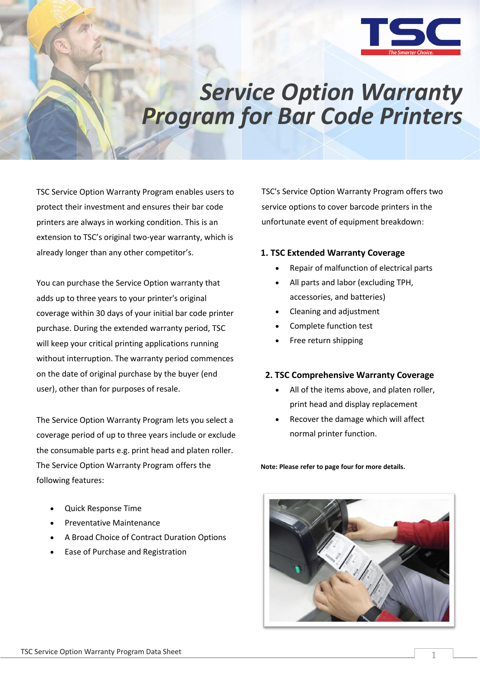

# *Service Option Warranty Program for Bar Code Printers*

TSC Service Option Warranty Program enables users to protect their investment and ensures their bar code printers are always in working condition. This is an extension to TSC's original two-year warranty, which is already longer than any other competitor's.

You can purchase the Service Option warranty that adds up to three years to your printer's original coverage within 30 days of your initial bar code printer purchase. During the extended warranty period, TSC will keep your critical printing applications running without interruption. The warranty period commences on the date of original purchase by the buyer (end user), other than for purposes of resale.

The Service Option Warranty Program lets you select a coverage period of up to three years include or exclude the consumable parts e.g. print head and platen roller. The Service Option Warranty Program offers the following features:

- Quick Response Time
- Preventative Maintenance
- A Broad Choice of Contract Duration Options
- Ease of Purchase and Registration

TSC's Service Option Warranty Program offers two service options to cover barcode printers in the unfortunate event of equipment breakdown:

## **1. TSC Extended Warranty Coverage**

- Repair of malfunction of electrical parts
- All parts and labor (excluding TPH, accessories, and batteries)
- Cleaning and adjustment
- Complete function test
- Free return shipping

## **2. TSC Comprehensive Warranty Coverage**

- All of the items above, and platen roller, print head and display replacement
- Recover the damage which will affect normal printer function.

**Note: Please refer to page four for more details.**

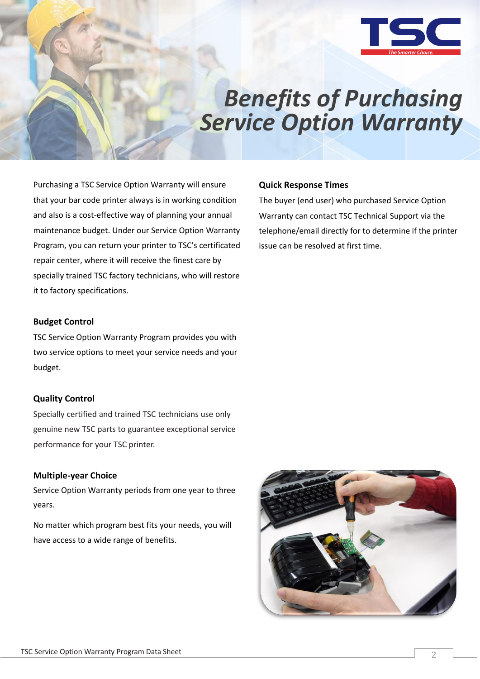

# *Benefits of Purchasing Service Option Warranty*

The buyer (end user) who purchased Service Option Warranty can contact TSC Technical Support via the

telephone/email directly for to determine if the printer

**Quick Response Times**

issue can be resolved at first time.

Purchasing a TSC Service Option Warranty will ensure that your bar code printer always is in working condition and also is a cost-effective way of planning your annual maintenance budget. Under our Service Option Warranty Program, you can return your printer to TSC's certificated repair center, where it will receive the finest care by specially trained TSC factory technicians, who will restore it to factory specifications.

### **Budget Control**

TSC Service Option Warranty Program provides you with two service options to meet your service needs and your budget.

## **Quality Control**

Specially certified and trained TSC technicians use only genuine new TSC parts to guarantee exceptional service performance for your TSC printer.

## **Multiple-year Choice**

Service Option Warranty periods from one year to three years.

No matter which program best fits your needs, you will have access to a wide range of benefits.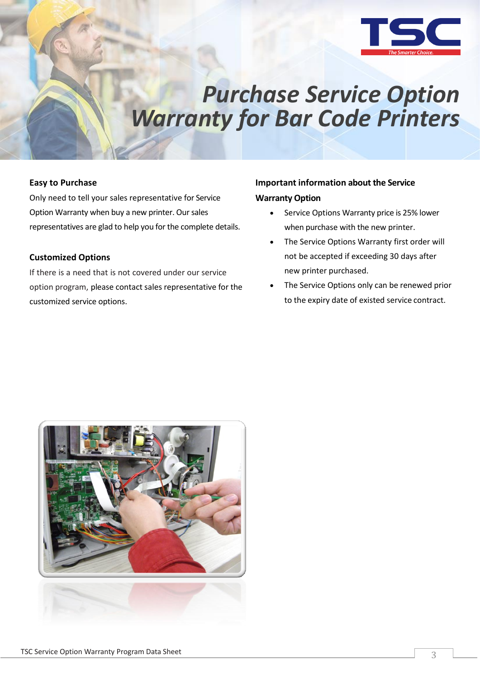

## *Purchase Service Option Warranty for Bar Code Printers*

### **Easy to Purchase**

Only need to tell your sales representative for Service Option Warranty when buy a new printer. Our sales representatives are glad to help you for the complete details.

## **Customized Options**

If there is a need that is not covered under our service option program, please contact sales representative for the customized service options.

## **Important information about the Service Warranty Option**

- Service Options Warranty price is 25% lower when purchase with the new printer.
- The Service Options Warranty first order will not be accepted if exceeding 30 days after new printer purchased.
- The Service Options only can be renewed prior to the expiry date of existed service contract.